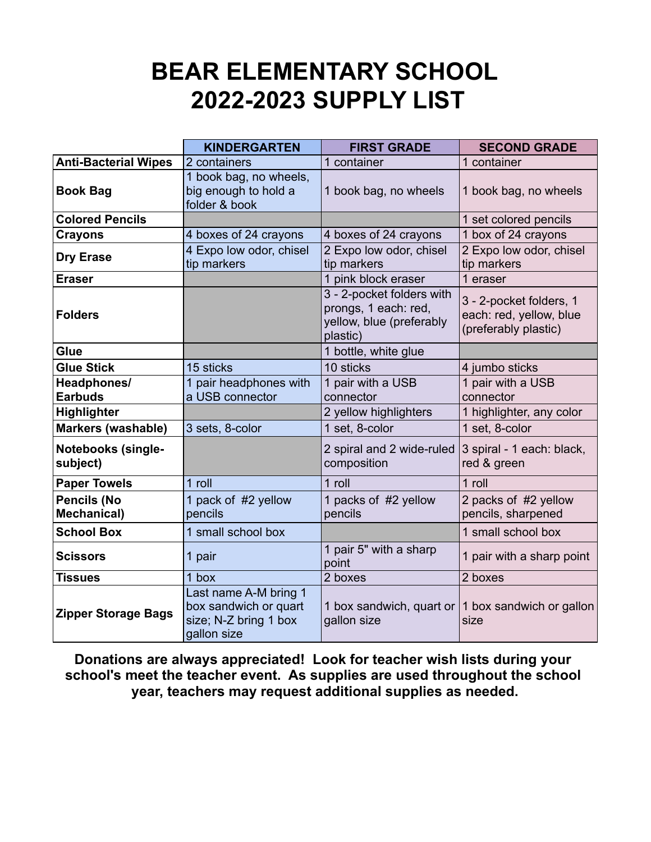## **BEAR ELEMENTARY SCHOOL 2022-2023 SUPPLY LIST**

|                                          | <b>KINDERGARTEN</b>                                                                    | <b>FIRST GRADE</b>                                                                        | <b>SECOND GRADE</b>                                                        |
|------------------------------------------|----------------------------------------------------------------------------------------|-------------------------------------------------------------------------------------------|----------------------------------------------------------------------------|
| <b>Anti-Bacterial Wipes</b>              | 2 containers                                                                           | 1 container                                                                               | 1 container                                                                |
| <b>Book Bag</b>                          | 1 book bag, no wheels,<br>big enough to hold a<br>folder & book                        | 1 book bag, no wheels                                                                     | 1 book bag, no wheels                                                      |
| <b>Colored Pencils</b>                   |                                                                                        |                                                                                           | 1 set colored pencils                                                      |
| <b>Crayons</b>                           | 4 boxes of 24 crayons                                                                  | 4 boxes of 24 crayons                                                                     | 1 box of 24 crayons                                                        |
| <b>Dry Erase</b>                         | 4 Expo low odor, chisel<br>tip markers                                                 | 2 Expo low odor, chisel<br>tip markers                                                    | 2 Expo low odor, chisel<br>tip markers                                     |
| <b>Eraser</b>                            |                                                                                        | 1 pink block eraser                                                                       | 1 eraser                                                                   |
| <b>Folders</b>                           |                                                                                        | 3 - 2-pocket folders with<br>prongs, 1 each: red,<br>yellow, blue (preferably<br>plastic) | 3 - 2-pocket folders, 1<br>each: red, yellow, blue<br>(preferably plastic) |
| Glue                                     |                                                                                        | 1 bottle, white glue                                                                      |                                                                            |
| <b>Glue Stick</b>                        | 15 sticks                                                                              | 10 sticks                                                                                 | 4 jumbo sticks                                                             |
| Headphones/<br><b>Earbuds</b>            | 1 pair headphones with<br>a USB connector                                              | 1 pair with a USB<br>connector                                                            | 1 pair with a USB<br>connector                                             |
| Highlighter                              |                                                                                        | 2 yellow highlighters                                                                     | 1 highlighter, any color                                                   |
| Markers (washable)                       | 3 sets, 8-color                                                                        | 1 set, 8-color                                                                            | 1 set, 8-color                                                             |
| <b>Notebooks (single-</b><br>subject)    |                                                                                        | 2 spiral and 2 wide-ruled<br>composition                                                  | 3 spiral - 1 each: black,<br>red & green                                   |
| <b>Paper Towels</b>                      | 1 roll                                                                                 | 1 roll                                                                                    | 1 roll                                                                     |
| <b>Pencils (No</b><br><b>Mechanical)</b> | 1 pack of #2 yellow<br>pencils                                                         | 1 packs of #2 yellow<br>pencils                                                           | 2 packs of #2 yellow<br>pencils, sharpened                                 |
| <b>School Box</b>                        | 1 small school box                                                                     |                                                                                           | 1 small school box                                                         |
| <b>Scissors</b>                          | 1 pair                                                                                 | 1 pair 5" with a sharp<br>point                                                           | 1 pair with a sharp point                                                  |
| <b>Tissues</b>                           | 1 box                                                                                  | 2 boxes                                                                                   | 2 boxes                                                                    |
| <b>Zipper Storage Bags</b>               | Last name A-M bring 1<br>box sandwich or quart<br>size; N-Z bring 1 box<br>gallon size | gallon size                                                                               | 1 box sandwich, quart or $\vert$ 1 box sandwich or gallon<br>size          |

**Donations are always appreciated! Look for teacher wish lists during your school's meet the teacher event. As supplies are used throughout the school year, teachers may request additional supplies as needed.**